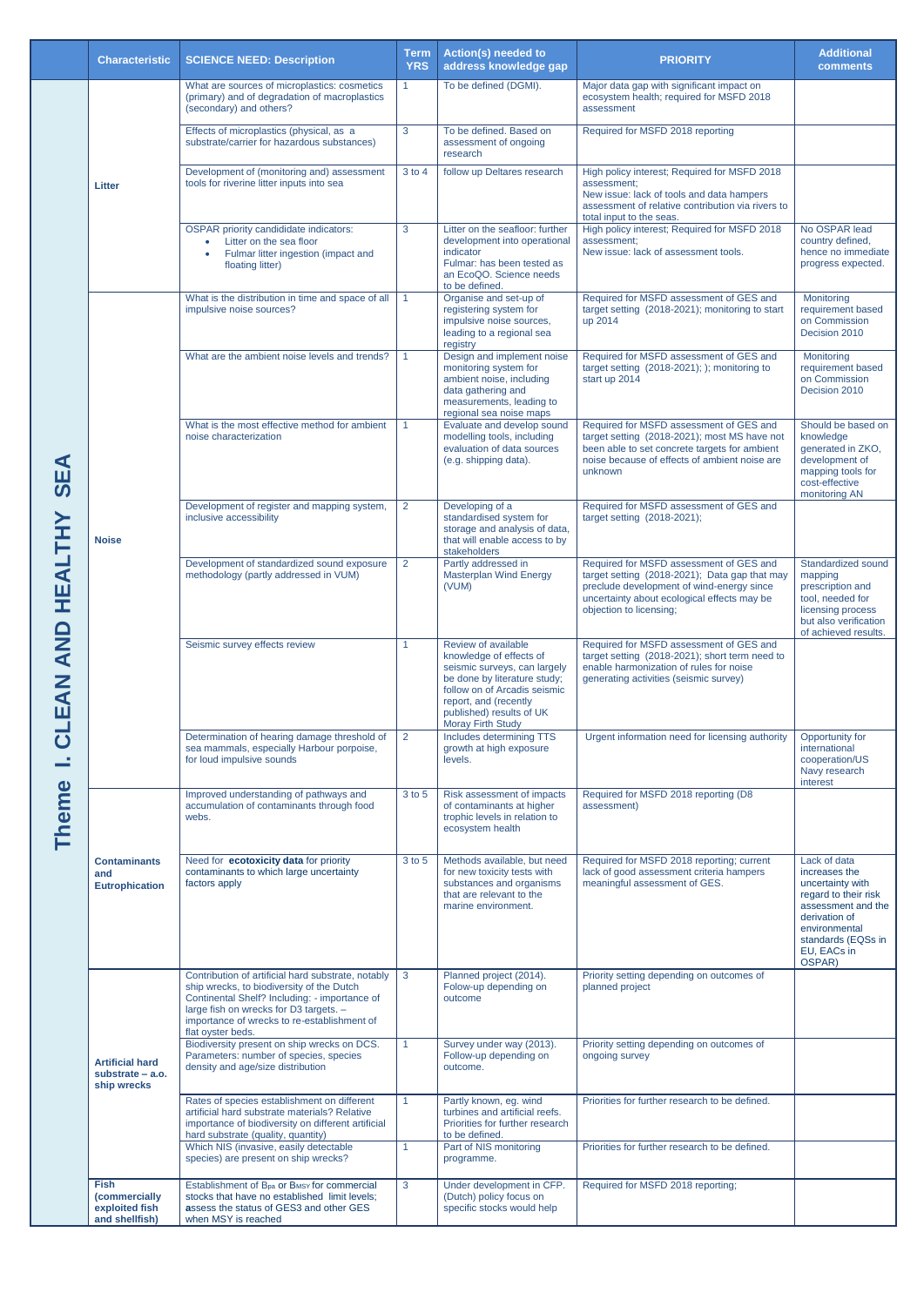|                                                                                                                                      | <b>Characteristic</b>                                                   | <b>SCIENCE NEED: Description</b>                                                                                                                                                                                                                               | <b>Term</b><br><b>YRS</b>                    | <b>Action(s) needed to</b><br>address knowledge gap                                                                                                                                                                             | <b>PRIORITY</b>                                                                                                                                                                                                 | <b>Additional</b><br><b>comments</b>                                                                                                                                             |
|--------------------------------------------------------------------------------------------------------------------------------------|-------------------------------------------------------------------------|----------------------------------------------------------------------------------------------------------------------------------------------------------------------------------------------------------------------------------------------------------------|----------------------------------------------|---------------------------------------------------------------------------------------------------------------------------------------------------------------------------------------------------------------------------------|-----------------------------------------------------------------------------------------------------------------------------------------------------------------------------------------------------------------|----------------------------------------------------------------------------------------------------------------------------------------------------------------------------------|
| EA<br>$\boldsymbol{\omega}$<br>H<br>$\blacktriangleleft$<br>믶<br><b>QNA</b><br><b>NAS</b><br>$\overline{\textbf{C}}$<br><b>Theme</b> | <b>Litter</b>                                                           | What are sources of microplastics: cosmetics<br>(primary) and of degradation of macroplastics<br>(secondary) and others?                                                                                                                                       | $\blacktriangleleft$                         | To be defined (DGMI).                                                                                                                                                                                                           | Major data gap with significant impact on<br>ecosystem health; required for MSFD 2018<br>assessment                                                                                                             |                                                                                                                                                                                  |
|                                                                                                                                      |                                                                         | Effects of microplastics (physical, as a<br>substrate/carrier for hazardous substances)                                                                                                                                                                        | 3                                            | To be defined. Based on<br>assessment of ongoing<br>research                                                                                                                                                                    | Required for MSFD 2018 reporting                                                                                                                                                                                |                                                                                                                                                                                  |
|                                                                                                                                      |                                                                         | Development of (monitoring and) assessment<br>tools for riverine litter inputs into sea                                                                                                                                                                        | 3 to 4                                       | follow up Deltares research                                                                                                                                                                                                     | High policy interest; Required for MSFD 2018<br>assessment:<br>New issue: lack of tools and data hampers<br>assessment of relative contribution via rivers to<br>total input to the seas.                       |                                                                                                                                                                                  |
|                                                                                                                                      |                                                                         | <b>OSPAR</b> priority candididate indicators:<br>Litter on the sea floor<br>Fulmar litter ingestion (impact and<br>floating litter)                                                                                                                            | 3                                            | Litter on the seafloor: further<br>development into operational<br>indicator<br>Fulmar: has been tested as<br>an EcoQO. Science needs<br>to be defined.                                                                         | High policy interest; Required for MSFD 2018<br>assessment;<br>New issue: lack of assessment tools.                                                                                                             | No OSPAR lead<br>country defined,<br>hence no immediate<br>progress expected.                                                                                                    |
|                                                                                                                                      | <b>Noise</b>                                                            | What is the distribution in time and space of all<br>impulsive noise sources?                                                                                                                                                                                  | $\overline{1}$                               | Organise and set-up of<br>registering system for<br>impulsive noise sources,<br>leading to a regional sea<br>registry                                                                                                           | Required for MSFD assessment of GES and<br>target setting (2018-2021); monitoring to start<br>up 2014                                                                                                           | Monitoring<br>requirement based<br>on Commission<br>Decision 2010                                                                                                                |
|                                                                                                                                      |                                                                         | What are the ambient noise levels and trends?                                                                                                                                                                                                                  | $\overline{1}$                               | Design and implement noise<br>monitoring system for<br>ambient noise, including<br>data gathering and<br>measurements, leading to<br>regional sea noise maps                                                                    | Required for MSFD assessment of GES and<br>target setting (2018-2021); ); monitoring to<br>start up 2014                                                                                                        | Monitoring<br>requirement based<br>on Commission<br>Decision 2010                                                                                                                |
|                                                                                                                                      |                                                                         | What is the most effective method for ambient<br>noise characterization                                                                                                                                                                                        | $\blacktriangleleft$                         | Evaluate and develop sound<br>modelling tools, including<br>evaluation of data sources<br>(e.g. shipping data).                                                                                                                 | Required for MSFD assessment of GES and<br>target setting (2018-2021); most MS have not<br>been able to set concrete targets for ambient<br>noise because of effects of ambient noise are<br>unknown            | Should be based on<br>knowledge<br>generated in ZKO,<br>development of<br>mapping tools for<br>cost-effective<br>monitoring AN                                                   |
|                                                                                                                                      |                                                                         | Development of register and mapping system,<br>inclusive accessibility                                                                                                                                                                                         | $\overline{2}$                               | Developing of a<br>standardised system for<br>storage and analysis of data,<br>that will enable access to by<br>stakeholders                                                                                                    | Required for MSFD assessment of GES and<br>target setting (2018-2021);                                                                                                                                          |                                                                                                                                                                                  |
|                                                                                                                                      |                                                                         | Development of standardized sound exposure<br>methodology (partly addressed in VUM)                                                                                                                                                                            | $\overline{2}$                               | Partly addressed in<br><b>Masterplan Wind Energy</b><br>(VUM)                                                                                                                                                                   | Required for MSFD assessment of GES and<br>target setting (2018-2021); Data gap that may<br>preclude development of wind-energy since<br>uncertainty about ecological effects may be<br>objection to licensing; | Standardized sound<br>mapping<br>prescription and<br>tool, needed for<br>licensing process<br>but also verification<br>of achieved results.                                      |
|                                                                                                                                      |                                                                         | Seismic survey effects review                                                                                                                                                                                                                                  | $\blacktriangleleft$                         | Review of available<br>knowledge of effects of<br>seismic surveys, can largely<br>be done by literature study;<br>follow on of Arcadis seismic<br>report, and (recently<br>published) results of UK<br><b>Moray Firth Study</b> | Required for MSFD assessment of GES and<br>target setting (2018-2021); short term need to<br>enable harmonization of rules for noise<br>generating activities (seismic survey)                                  |                                                                                                                                                                                  |
|                                                                                                                                      |                                                                         | Determination of hearing damage threshold of<br>sea mammals, especially Harbour porpoise,<br>for loud impulsive sounds                                                                                                                                         | $\overline{2}$                               | Includes determining TTS<br>growth at high exposure<br>levels.                                                                                                                                                                  | Urgent information need for licensing authority                                                                                                                                                                 | Opportunity for<br>international<br>cooperation/US<br>Navy research<br>interest                                                                                                  |
|                                                                                                                                      | <b>Contaminants</b><br>and<br><b>Eutrophication</b>                     | Improved understanding of pathways and<br>accumulation of contaminants through food<br>webs.                                                                                                                                                                   | 3 to 5                                       | Risk assessment of impacts<br>of contaminants at higher<br>trophic levels in relation to<br>ecosystem health                                                                                                                    | Required for MSFD 2018 reporting (D8<br>assessment)                                                                                                                                                             |                                                                                                                                                                                  |
|                                                                                                                                      |                                                                         | Need for ecotoxicity data for priority<br>contaminants to which large uncertainty<br>factors apply                                                                                                                                                             | 3 to 5                                       | Methods available, but need<br>for new toxicity tests with<br>substances and organisms<br>that are relevant to the<br>marine environment.                                                                                       | Required for MSFD 2018 reporting; current<br>lack of good assessment criteria hampers<br>meaningful assessment of GES.                                                                                          | Lack of data<br>increases the<br>uncertainty with<br>regard to their risk<br>assessment and the<br>derivation of<br>environmental<br>standards (EQSs in<br>EU, EACs in<br>OSPAR) |
|                                                                                                                                      | <b>Artificial hard</b><br>substrate $-$ a.o.<br>ship wrecks             | Contribution of artificial hard substrate, notably<br>ship wrecks, to biodiversity of the Dutch<br>Continental Shelf? Including: - importance of<br>large fish on wrecks for D3 targets. -<br>importance of wrecks to re-establishment of<br>flat oyster beds. | $\mathbf{3}$                                 | Planned project (2014).<br>Folow-up depending on<br>outcome                                                                                                                                                                     | Priority setting depending on outcomes of<br>planned project                                                                                                                                                    |                                                                                                                                                                                  |
|                                                                                                                                      |                                                                         | Biodiversity present on ship wrecks on DCS.<br>Parameters: number of species, species<br>density and age/size distribution                                                                                                                                     |                                              | Survey under way (2013).<br>Follow-up depending on<br>outcome.                                                                                                                                                                  | Priority setting depending on outcomes of<br>ongoing survey                                                                                                                                                     |                                                                                                                                                                                  |
|                                                                                                                                      |                                                                         | Rates of species establishment on different<br>artificial hard substrate materials? Relative<br>importance of biodiversity on different artificial<br>hard substrate (quality, quantity)<br>Which NIS (invasive, easily detectable                             | $\blacktriangleleft$<br>$\blacktriangleleft$ | Partly known, eg. wind<br>turbines and artificial reefs.<br>Priorities for further research<br>to be defined.<br>Part of NIS monitoring                                                                                         | Priorities for further research to be defined.<br>Priorities for further research to be defined.                                                                                                                |                                                                                                                                                                                  |
|                                                                                                                                      |                                                                         | species) are present on ship wrecks?                                                                                                                                                                                                                           |                                              | programme.                                                                                                                                                                                                                      |                                                                                                                                                                                                                 |                                                                                                                                                                                  |
|                                                                                                                                      | <b>Fish</b><br><i>(commercially</i><br>exploited fish<br>and shellfish) | Establishment of B <sub>pa</sub> or B <sub>MSY</sub> for commercial<br>stocks that have no established limit levels;<br>assess the status of GES3 and other GES<br>when MSY is reached                                                                         | 3                                            | Under development in CFP.<br>(Dutch) policy focus on<br>specific stocks would help                                                                                                                                              | Required for MSFD 2018 reporting;                                                                                                                                                                               |                                                                                                                                                                                  |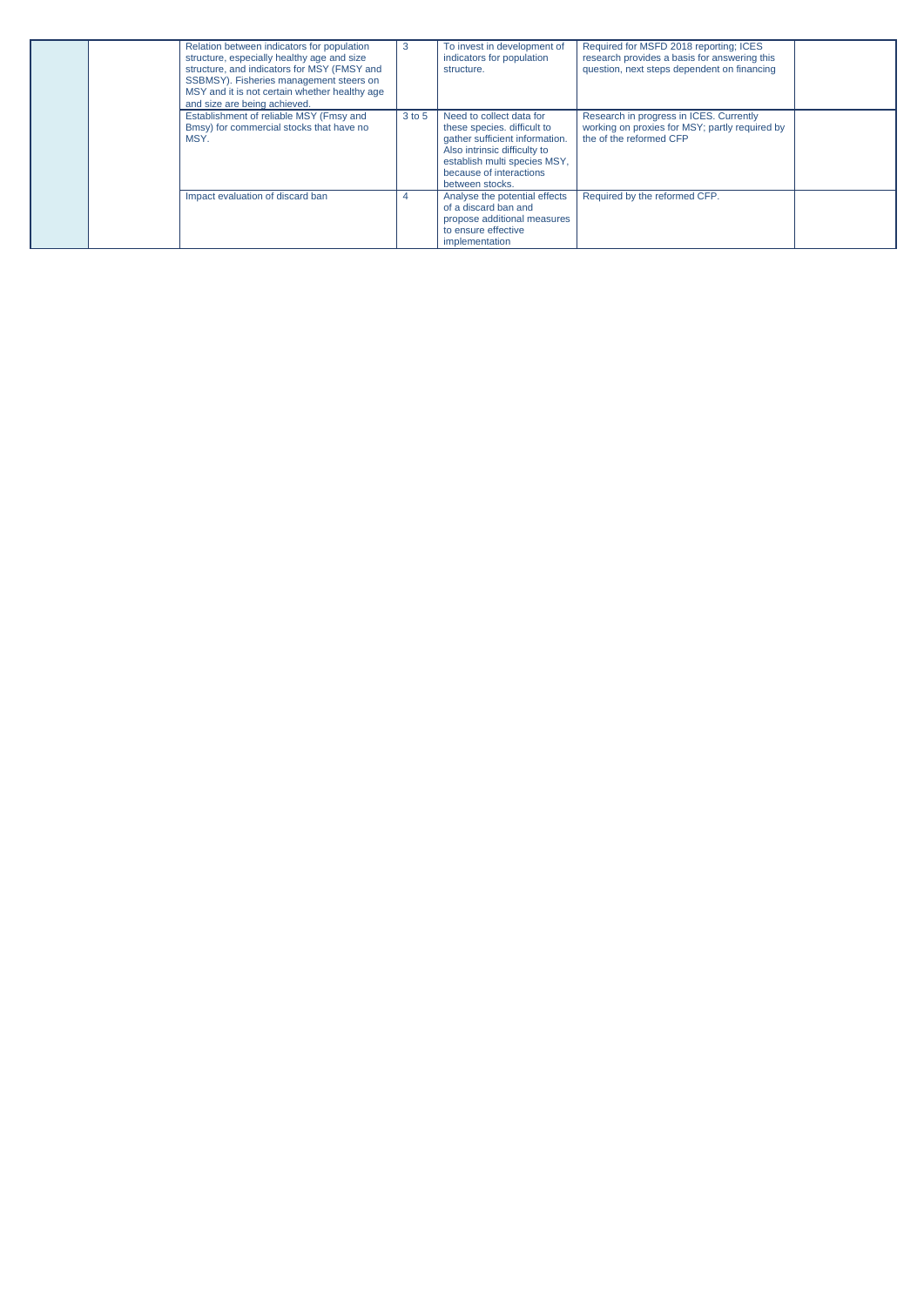| Relation between indicators for population<br>structure, especially healthy age and size<br>structure, and indicators for MSY (FMSY and<br>SSBMSY). Fisheries management steers on<br>MSY and it is not certain whether healthy age<br>and size are being achieved. | 3      | To invest in development of<br>indicators for population<br>structure.                                                                                                                                  | Required for MSFD 2018 reporting; ICES<br>research provides a basis for answering this<br>question, next steps dependent on financing |  |
|---------------------------------------------------------------------------------------------------------------------------------------------------------------------------------------------------------------------------------------------------------------------|--------|---------------------------------------------------------------------------------------------------------------------------------------------------------------------------------------------------------|---------------------------------------------------------------------------------------------------------------------------------------|--|
| Establishment of reliable MSY (Fmsy and<br>Bmsy) for commercial stocks that have no<br>MSY.                                                                                                                                                                         | 3 to 5 | Need to collect data for<br>these species, difficult to<br>gather sufficient information.<br>Also intrinsic difficulty to<br>establish multi species MSY,<br>because of interactions<br>between stocks. | Research in progress in ICES. Currently<br>working on proxies for MSY; partly required by<br>the of the reformed CFP                  |  |
| Impact evaluation of discard ban                                                                                                                                                                                                                                    | 4      | Analyse the potential effects<br>of a discard ban and<br>propose additional measures<br>to ensure effective<br>implementation                                                                           | Required by the reformed CFP.                                                                                                         |  |